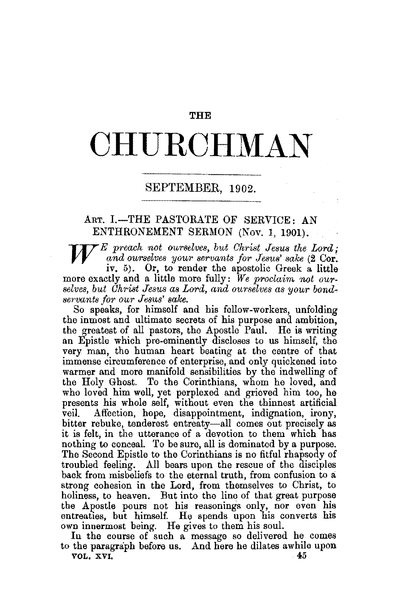#### THE

# **CHURCHMAN**

### SEPTEMBER, 1902.

## ART. I.-THE PASTORATE OF SERVICE: AN ENTHRONEMENT SERMON (Nov. 1, 1901).

W *E preach not ourselves, but Ghrist Jesus the Lord;*  and ourselves your servants for Jesus' sake (2 Cor. iv. 5). Or, to render the apostolic Greek a little more exactly and a little more fully: We proclaim not ourselves, but Christ Jesus as Lord, and ourselves as your bond*servants for our Jesus' sake.* 

So speaks, for himself and his fellow-workers, unfolding the inmost and ultimate secrets of his purpose and ambition, the greatest of all pastors, the Apostle Paul. He is writing an Epistle which pre.eminently discloses to us himself, the very man, the human heart beating at the centre of that immense circumference of enterprise, and only quickened into warmer and more manifold sensibilities by the indwelling of the Holy Ghost. To the Corinthians, whom he loved, and who loved him well, yet perplexed and grieved him too, he presents his whole self, without even the thinnest artificial veil. Affection, hope, disappointment, indignation, irony, bitter rebuke, tenderest entreaty-all comes out precisely as it is felt, in the utterance of a devotion to them which has nothing to conceal. To be sure, all is dominated by a purpose. The Second Epistle to the Corinthians is no fitful rhapsody of troubled feeling. All bears upon the rescue of the disciples back from misbeliefs to the eternal truth, from confusion to a strong cohesion in the Lord, from themselves to Christ, to holiness, to heaven. But into the line of that great purpose the Apostle pours not his reasonings only, nor even his entreaties, but himself. He spends upon his converts his own innermost being. He gives to them his soul.

Iu the course of such a message so delivered he comes to the paragraph before us. And here he dilates awhile upon<br>vol. xvi. VOL. XVI.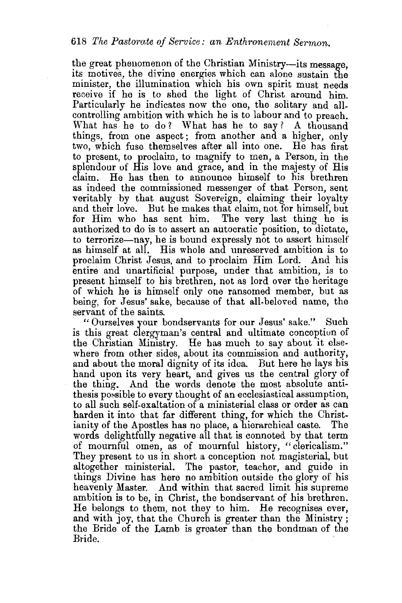the great phenomenon of the Christian Ministry-its message. its motives, the divine energies which can alone sustain the minister, the illumination which his own spirit must needs receive if he is to shed the light of Christ around him. Particularly he indicates now the one, the solitary and allcontrolling ambition with which he is to labour and to preach. What has he to do? What has he to say? A thousand things, from one aspect; from another and a higher, only two, which fuse themselves after all into one. He has first to present, to proclaim, to magnify to men, a Person, in the splendour of His love and grace, and in the majesty of His He has then to announce himself to his brethren as indeed the commissioned messenger of that Person, sent veritably by that august Sovereign, claiming their loyalty and their love. But he makes that claim, not for himself, but for Him who has sent him. The very last thing he is authorized to do is to assert an autocratic position, to dictate, to terrorize-nay, he is bound expressly not to assert himself as himself at all. His whole and unreserved ambition is to proclaim Christ Jesus, and to proclaim Him Lord. And his entire and unartificial purpose, under that ambition, is to present himself to his brethren, not as lord over the heritage of which he is himself only one ransomed member, but as being, for Jesus' sake, because of that all-beloved name, the servant of the saints.

"Ourselves your bondservants for our Jesus' sake." Such is this great clergyman's central and ultimate conception of the Christian Ministry. He has much to say about it elsewhere from other sides, about its commission and authority, and about the moral dignity of its idea. But here he lays his hand upon its very heart, and gives us the central glory of the thing. And the words denote the most absolute antithesis possible to every thought of an ecclesiastical assumption, to all such self-exaltation of a ministerial class or order as can harden it into that far different thing, for which the Christianity of the Apostles has no place, a hierarchical caste. The words delightfully negative all that is connoted by that term of mournful omen, as of mournful history, "clericalism." They present to us in short a conception not magisterial, but altogether ministerial. The pastor, teacher, and guide in things Divine has here no ambition outside the glory of his heavenly Master. And within that sacred limit his supreme ambition is to be, in Christ, the bondservant of his brethren. He belongs to them, not they to him. He recognises ever, and with joy, that the Church is greater than the Ministry ; the Bride of the Lamb is greater than the bondman of the Bride.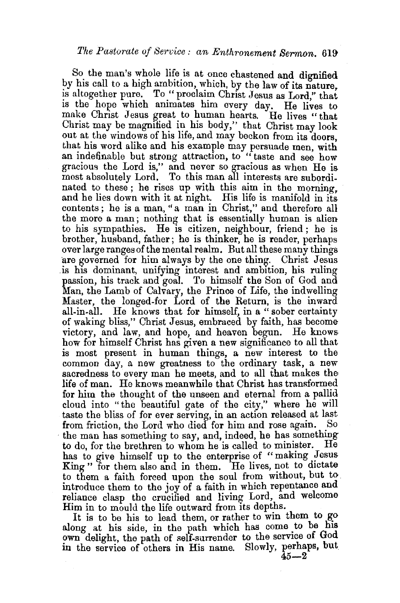So the man's whole life is at once chastened and dignified by his call to a high ambition, which, by the law of its nature. is altogether pure. To " proclaim Christ Jesus as Lord," that is the hope which animates him every day. He lives to make Christ Jesus great to human hearts. He lives "that Christ may be magnified in his body," that Christ may look out at the windows of his life, and may beckon from its doors. that his word alike and his example may persuade men, with an indefinable but strong attraction, to "taste and see how gracious the Lord is," and never so gracious as when He is most absolutely Lord. To this man all interests are subordinated to these ; he rises up with this aim in the morning, and he lies down with it at night. His life is manifold in its contents; he is a man, "a man in Christ," and therefore all the more a man ; nothing that is essentially human is alien to his sympathies. He is citizen, neighbour, friend ; he is brother, husband, father; he is thinker, he is reader, perhaps over large ranges of the mental realm. But all these many things are governed for him always by the one thing. Christ Jesus .is his dominant, unifying interest and ambition, his ruling passion, his track and goal. To himself the Son of God and Man, the Lamb of Calvary, the Prince of Life, the indwelling Master, the longed-for Lord of the Return, is the inward ail-in-all. He knows that for himself, in a " sober certainty of waking bliss," Christ Jesus, embraced by faith, has become victory, and law, and hope, and heaven begun. He knows how for himself Christ has given a new significance to all that is most present in human things, a new interest to the common day, a new greatness to the ordinary task, a new sacredness to every man he meets, and to all that makes the life of man. He knows meanwhile that Christ has transformed for him the thought of the unseen and eternal from a pallid cloud into "the beautiful gate of the city," where he will taste the bliss of for ever serving, in an action released at last from friction, the Lord who died for him and rose again. So the man has something to say, and, indeed, he has something to do, for the brethren to whom he is called to minister. He has to give himself up to the enterprise of "making Jesus King" for them also and in them. He lives, not to dictate to them a faith forced upon the soul from without, but to. introduce them to the joy of a faith in which repentance and reliance clasp the crucified and living Lord, and welcome Him in to mou]d the life outward from its depths.

It is to be his to lead them, or rather to win them to go along at his side, in the path which has come to be his own delight, the path of self-surrender to the service of God in the service of others in His name. Slowly, perhaps, but

 $45 - 2$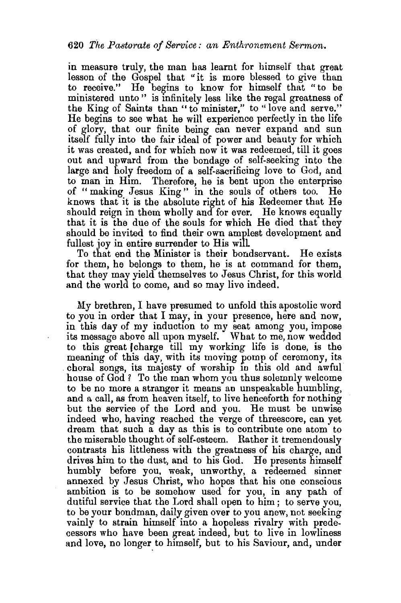in measure truly, the man has learnt for himself that great lesson of the Gospel that "it is more blessed to give than to receive." He begins to know for himself that "to be ministered unto" is infinitely less like the regal greatness of the King of Saints than "to minister," to "love and serve." He begins to see what he will experience perfectly in the life of glory, that our finite being can never expand and sun itself fully into the fair ideal of power and beauty for which it was created, and for which now it was redeemed, till it goes out and upward from the bondage of self-seeking into the large and holy freedom of a self-sacrificing love to God, and to man in Him. Therefore, he is bent upon the enterprise of " making Jesus King " in the souls of others too. He knows that it is the absolute right of his Redeemer that He should reign in them wholly and for ever. He knows equally that it is the due of the souls for which He died that they should be invited to find their own amplest development and fullest joy in entire surrender to His will

To that end the Minister is their bondservant. He exists for them, he belongs to them, he is at command for them, that they may yield themselves to Jesus Christ, for this world and the world to come, and so may live indeed.

My brethren, I have presumed to unfold this apostolic word to you in order that I may, in your presence, here and now, in this day of my induction to my seat among you, impose its message above all upon myself. What to me, now wedded to this great (charge till my working life is done, is the meaning of this day, with its moving pomp of ceremony, its choral songs, its majesty of worship in this old and awful house of God? To the man whom you thus solemnly welcome to be no more a stranger it means an unspeakable humbling, and a call, as from heaven itself, to live henceforth for nothing but the service of the Lord and you. He must be unwise indeed who, having reached the verge of threescore, can yet dream that such a day as this is to contribute one atom to the miserable thought of self.esteem. Rather it tremendously contrasts his littleness with the greatness of his charge, and drives him to the dust, and to his God. He presents himself humbly before you, weak, unworthy, a redeemed sinner annexed by Jesus Christ, who hopes that his one conscious ambition is to be somehow used for you, in any path of dutiful service that the Lord shall open to him ; to serve you, to be your bondman, daily given over to you anew, not seeking vainly to strain himself into a hopeless rivalry with predecessors who have been great indeed, but to live in lowliness and love, no longer to himself, but to his Saviour, and, under